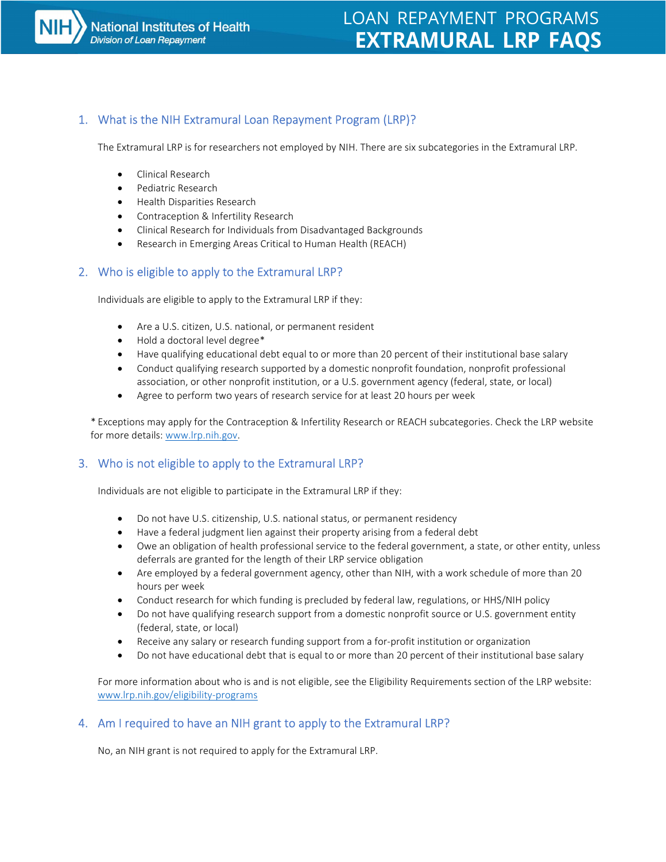

# LOAN REPAYMENT PROGRAMS EXTRAMURAL LRP FAQS

# 1. What is the NIH Extramural Loan Repayment Program (LRP)?

The Extramural LRP is for researchers not employed by NIH. There are six subcategories in the Extramural LRP.

- Clinical Research
- Pediatric Research
- Health Disparities Research
- Contraception & Infertility Research
- Clinical Research for Individuals from Disadvantaged Backgrounds
- Research in Emerging Areas Critical to Human Health (REACH)

# 2. Who is eligible to apply to the Extramural LRP?

Individuals are eligible to apply to the Extramural LRP if they:

- Are a U.S. citizen, U.S. national, or permanent resident
- Hold a doctoral level degree\*
- Have qualifying educational debt equal to or more than 20 percent of their institutional base salary
- Conduct qualifying research supported by a domestic nonprofit foundation, nonprofit professional association, or other nonprofit institution, or a U.S. government agency (federal, state, or local)
- Agree to perform two years of research service for at least 20 hours per week

\* Exceptions may apply for the Contraception & Infertility Research or REACH subcategories. Check the LRP website for more details: www.lrp.nih.gov.

# 3. Who is not eligible to apply to the Extramural LRP?

Individuals are not eligible to participate in the Extramural LRP if they:

- Do not have U.S. citizenship, U.S. national status, or permanent residency
- Have a federal judgment lien against their property arising from a federal debt
- Owe an obligation of health professional service to the federal government, a state, or other entity, unless deferrals are granted for the length of their LRP service obligation
- Are employed by a federal government agency, other than NIH, with a work schedule of more than 20 hours per week
- Conduct research for which funding is precluded by federal law, regulations, or HHS/NIH policy
- Do not have qualifying research support from a domestic nonprofit source or U.S. government entity (federal, state, or local)
- Receive any salary or research funding support from a for-profit institution or organization
- Do not have educational debt that is equal to or more than 20 percent of their institutional base salary

For more information about who is and is not eligible, see the Eligibility Requirements section of the LRP website: www.lrp.nih.gov/eligibility-programs

# 4. Am I required to have an NIH grant to apply to the Extramural LRP?

No, an NIH grant is not required to apply for the Extramural LRP.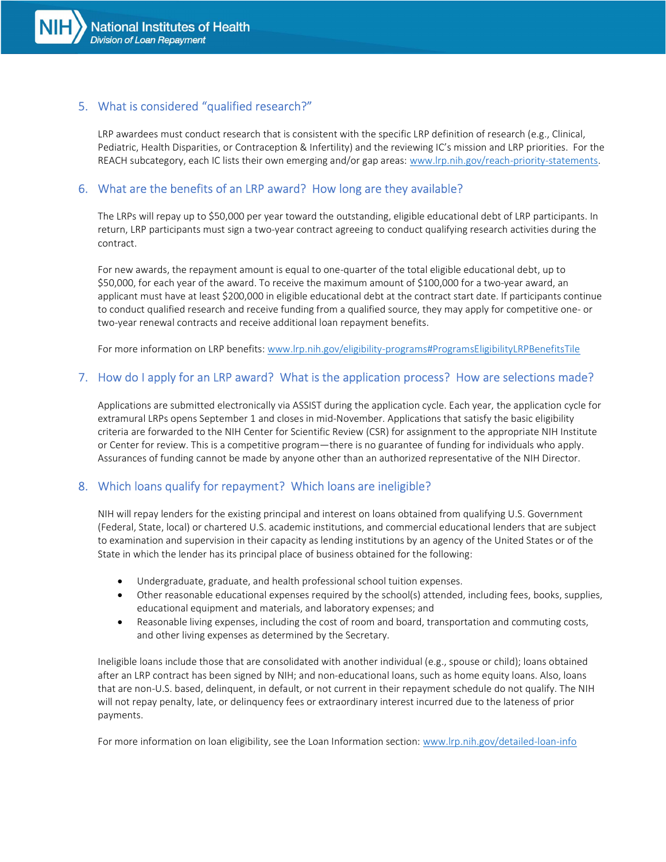

# 5. What is considered "qualified research?"

LRP awardees must conduct research that is consistent with the specific LRP definition of research (e.g., Clinical, Pediatric, Health Disparities, or Contraception & Infertility) and the reviewing IC's mission and LRP priorities. For the REACH subcategory, each IC lists their own emerging and/or gap areas: www.lrp.nih.gov/reach-priority-statements.

# 6. What are the benefits of an LRP award? How long are they available?

The LRPs will repay up to \$50,000 per year toward the outstanding, eligible educational debt of LRP participants. In return, LRP participants must sign a two-year contract agreeing to conduct qualifying research activities during the contract.

For new awards, the repayment amount is equal to one-quarter of the total eligible educational debt, up to \$50,000, for each year of the award. To receive the maximum amount of \$100,000 for a two-year award, an applicant must have at least \$200,000 in eligible educational debt at the contract start date. If participants continue to conduct qualified research and receive funding from a qualified source, they may apply for competitive one- or two-year renewal contracts and receive additional loan repayment benefits.

For more information on LRP benefits: www.lrp.nih.gov/eligibility-programs#ProgramsEligibilityLRPBenefitsTile

# 7. How do I apply for an LRP award? What is the application process? How are selections made?

Applications are submitted electronically via ASSIST during the application cycle. Each year, the application cycle for extramural LRPs opens September 1 and closes in mid-November. Applications that satisfy the basic eligibility criteria are forwarded to the NIH Center for Scientific Review (CSR) for assignment to the appropriate NIH Institute or Center for review. This is a competitive program—there is no guarantee of funding for individuals who apply. Assurances of funding cannot be made by anyone other than an authorized representative of the NIH Director.

#### 8. Which loans qualify for repayment? Which loans are ineligible?

NIH will repay lenders for the existing principal and interest on loans obtained from qualifying U.S. Government (Federal, State, local) or chartered U.S. academic institutions, and commercial educational lenders that are subject to examination and supervision in their capacity as lending institutions by an agency of the United States or of the State in which the lender has its principal place of business obtained for the following:

- Undergraduate, graduate, and health professional school tuition expenses.
- Other reasonable educational expenses required by the school(s) attended, including fees, books, supplies, educational equipment and materials, and laboratory expenses; and
- Reasonable living expenses, including the cost of room and board, transportation and commuting costs, and other living expenses as determined by the Secretary.

Ineligible loans include those that are consolidated with another individual (e.g., spouse or child); loans obtained after an LRP contract has been signed by NIH; and non-educational loans, such as home equity loans. Also, loans that are non-U.S. based, delinquent, in default, or not current in their repayment schedule do not qualify. The NIH will not repay penalty, late, or delinquency fees or extraordinary interest incurred due to the lateness of prior payments.

For more information on loan eligibility, see the Loan Information section: www.lrp.nih.gov/detailed-loan-info